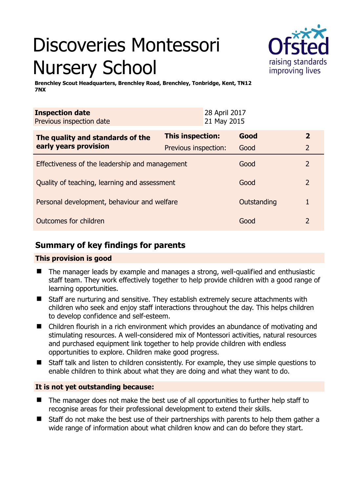# Discoveries Montessori Nursery School



**Brenchley Scout Headquarters, Brenchley Road, Brenchley, Tonbridge, Kent, TN12 7NX** 

| <b>Inspection date</b><br>Previous inspection date        |                         | 28 April 2017<br>21 May 2015 |             |                |
|-----------------------------------------------------------|-------------------------|------------------------------|-------------|----------------|
| The quality and standards of the<br>early years provision | <b>This inspection:</b> |                              | Good        | $\mathbf{2}$   |
|                                                           | Previous inspection:    |                              | Good        | $\overline{2}$ |
| Effectiveness of the leadership and management            |                         |                              | Good        | $\mathcal{P}$  |
| Quality of teaching, learning and assessment              |                         |                              | Good        | 2              |
| Personal development, behaviour and welfare               |                         |                              | Outstanding |                |
| Outcomes for children                                     |                         |                              | Good        | 2              |

## **Summary of key findings for parents**

## **This provision is good**

- The manager leads by example and manages a strong, well-qualified and enthusiastic staff team. They work effectively together to help provide children with a good range of learning opportunities.
- Staff are nurturing and sensitive. They establish extremely secure attachments with children who seek and enjoy staff interactions throughout the day. This helps children to develop confidence and self-esteem.
- Children flourish in a rich environment which provides an abundance of motivating and stimulating resources. A well-considered mix of Montessori activities, natural resources and purchased equipment link together to help provide children with endless opportunities to explore. Children make good progress.
- Staff talk and listen to children consistently. For example, they use simple questions to enable children to think about what they are doing and what they want to do.

## **It is not yet outstanding because:**

- The manager does not make the best use of all opportunities to further help staff to recognise areas for their professional development to extend their skills.
- Staff do not make the best use of their partnerships with parents to help them gather a wide range of information about what children know and can do before they start.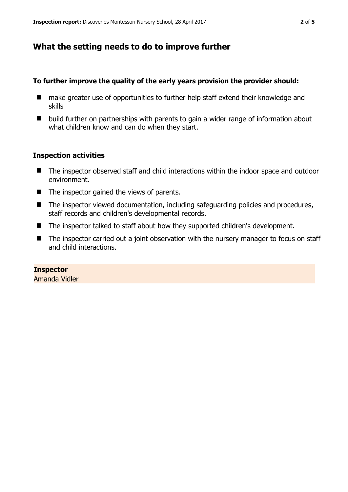## **What the setting needs to do to improve further**

#### **To further improve the quality of the early years provision the provider should:**

- make greater use of opportunities to further help staff extend their knowledge and skills
- build further on partnerships with parents to gain a wider range of information about what children know and can do when they start.

## **Inspection activities**

- The inspector observed staff and child interactions within the indoor space and outdoor environment.
- $\blacksquare$  The inspector gained the views of parents.
- The inspector viewed documentation, including safeguarding policies and procedures, staff records and children's developmental records.
- The inspector talked to staff about how they supported children's development.
- The inspector carried out a joint observation with the nursery manager to focus on staff and child interactions.

# **Inspector**

Amanda Vidler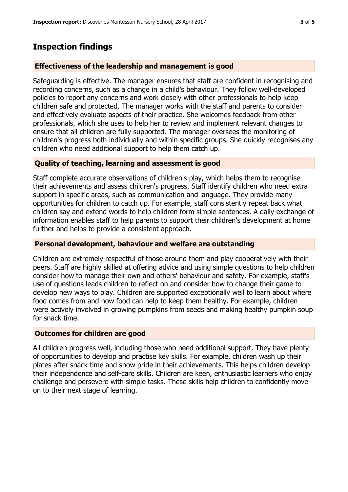## **Inspection findings**

## **Effectiveness of the leadership and management is good**

Safeguarding is effective. The manager ensures that staff are confident in recognising and recording concerns, such as a change in a child's behaviour. They follow well-developed policies to report any concerns and work closely with other professionals to help keep children safe and protected. The manager works with the staff and parents to consider and effectively evaluate aspects of their practice. She welcomes feedback from other professionals, which she uses to help her to review and implement relevant changes to ensure that all children are fully supported. The manager oversees the monitoring of children's progress both individually and within specific groups. She quickly recognises any children who need additional support to help them catch up.

## **Quality of teaching, learning and assessment is good**

Staff complete accurate observations of children's play, which helps them to recognise their achievements and assess children's progress. Staff identify children who need extra support in specific areas, such as communication and language. They provide many opportunities for children to catch up. For example, staff consistently repeat back what children say and extend words to help children form simple sentences. A daily exchange of information enables staff to help parents to support their children's development at home further and helps to provide a consistent approach.

## **Personal development, behaviour and welfare are outstanding**

Children are extremely respectful of those around them and play cooperatively with their peers. Staff are highly skilled at offering advice and using simple questions to help children consider how to manage their own and others' behaviour and safety. For example, staff's use of questions leads children to reflect on and consider how to change their game to develop new ways to play. Children are supported exceptionally well to learn about where food comes from and how food can help to keep them healthy. For example, children were actively involved in growing pumpkins from seeds and making healthy pumpkin soup for snack time.

## **Outcomes for children are good**

All children progress well, including those who need additional support. They have plenty of opportunities to develop and practise key skills. For example, children wash up their plates after snack time and show pride in their achievements. This helps children develop their independence and self-care skills. Children are keen, enthusiastic learners who enjoy challenge and persevere with simple tasks. These skills help children to confidently move on to their next stage of learning.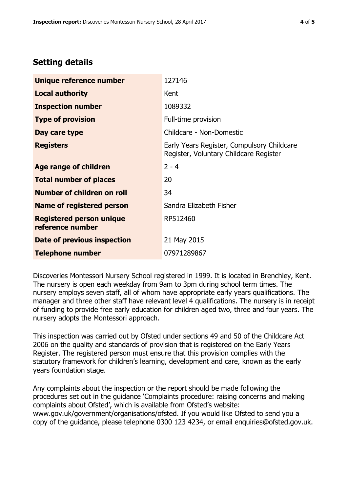# **Setting details**

| Unique reference number                             | 127146                                                                               |  |
|-----------------------------------------------------|--------------------------------------------------------------------------------------|--|
| <b>Local authority</b>                              | Kent                                                                                 |  |
| <b>Inspection number</b>                            | 1089332                                                                              |  |
| <b>Type of provision</b>                            | Full-time provision                                                                  |  |
| Day care type                                       | Childcare - Non-Domestic                                                             |  |
| <b>Registers</b>                                    | Early Years Register, Compulsory Childcare<br>Register, Voluntary Childcare Register |  |
| Age range of children                               | $2 - 4$                                                                              |  |
| <b>Total number of places</b>                       | 20                                                                                   |  |
| Number of children on roll                          | 34                                                                                   |  |
| Name of registered person                           | Sandra Elizabeth Fisher                                                              |  |
| <b>Registered person unique</b><br>reference number | RP512460                                                                             |  |
| <b>Date of previous inspection</b>                  | 21 May 2015                                                                          |  |
| <b>Telephone number</b>                             | 07971289867                                                                          |  |

Discoveries Montessori Nursery School registered in 1999. It is located in Brenchley, Kent. The nursery is open each weekday from 9am to 3pm during school term times. The nursery employs seven staff, all of whom have appropriate early years qualifications. The manager and three other staff have relevant level 4 qualifications. The nursery is in receipt of funding to provide free early education for children aged two, three and four years. The nursery adopts the Montessori approach.

This inspection was carried out by Ofsted under sections 49 and 50 of the Childcare Act 2006 on the quality and standards of provision that is registered on the Early Years Register. The registered person must ensure that this provision complies with the statutory framework for children's learning, development and care, known as the early years foundation stage.

Any complaints about the inspection or the report should be made following the procedures set out in the guidance 'Complaints procedure: raising concerns and making complaints about Ofsted', which is available from Ofsted's website: www.gov.uk/government/organisations/ofsted. If you would like Ofsted to send you a copy of the guidance, please telephone 0300 123 4234, or email enquiries@ofsted.gov.uk.